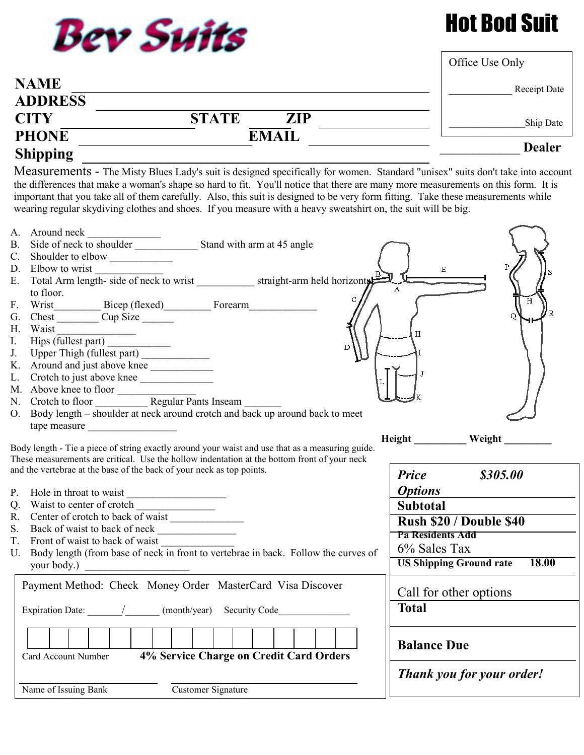

# Hot Bod Suit

**Pa Residents Add** 6% Sales Tax

**US Shipping Ground rate 18.00**

|                 |                                                                                 |            | Office Use Only |
|-----------------|---------------------------------------------------------------------------------|------------|-----------------|
| <b>NAME</b>     |                                                                                 |            | Receipt Date    |
| <b>ADDRESS</b>  |                                                                                 |            |                 |
| <b>CITY</b>     | <b>STATE</b>                                                                    | <b>ZIP</b> | Ship Date       |
| <b>PHONE</b>    | <b>EMAIL</b>                                                                    |            |                 |
| <b>Shipping</b> |                                                                                 |            | <b>Dealer</b>   |
| $\mathbf{M}$    | المادة المعاونات المتحدث والمتحدث والمستحدث المتحدث المتحدث والمستحدث والمستحدث |            |                 |

Measurements - The Misty Blues Lady's suit is designed specifically for women. Standard "unisex" suits don't take into account the differences that make a woman's shape so hard to fit. You'll notice that there are many more measurements on this form. It is important that you take all of them carefully. Also, this suit is designed to be very form fitting. Take these measurements while wearing regular skydiving clothes and shoes. If you measure with a heavy sweatshirt on, the suit will be big.

| A.          | Around neck                                                                                      |                 |                         |
|-------------|--------------------------------------------------------------------------------------------------|-----------------|-------------------------|
| <b>B.</b>   |                                                                                                  |                 |                         |
| C.          |                                                                                                  |                 |                         |
|             | D. Elbow to wrist                                                                                | Ε               |                         |
| E.          |                                                                                                  |                 |                         |
|             | to floor.                                                                                        |                 |                         |
| $F_{\cdot}$ |                                                                                                  |                 |                         |
|             | G. Chest Cup Size                                                                                |                 |                         |
|             |                                                                                                  | H               |                         |
|             |                                                                                                  |                 |                         |
|             | D<br>J. Upper Thigh (fullest part) _____________                                                 |                 |                         |
|             | K. Around and just above knee                                                                    |                 |                         |
| L.          | Crotch to just above knee                                                                        |                 |                         |
|             |                                                                                                  |                 |                         |
|             |                                                                                                  |                 |                         |
|             | O. Body length – shoulder at neck around crotch and back up around back to meet                  |                 |                         |
|             | tape measure                                                                                     |                 |                         |
|             |                                                                                                  | Height          | Weight                  |
|             | Body length - Tie a piece of string exactly around your waist and use that as a measuring guide. |                 |                         |
|             | These measurements are critical. Use the hollow indentation at the bottom front of your neck     |                 |                         |
|             | and the vertebrae at the base of the back of your neck as top points.                            | <b>Price</b>    | \$305.00                |
| $P_{\cdot}$ | Hole in throat to waist                                                                          | <b>Options</b>  |                         |
|             |                                                                                                  | <b>Subtotal</b> |                         |
|             | R. Center of crotch to back of waist                                                             |                 | Rush \$20 / Double \$40 |
|             |                                                                                                  |                 |                         |

- S. Back of waist to back of neck
- T. Front of waist to back of waist
- U. Body length (from base of neck in front to vertebrae in back. Follow the curves of your body.)

|                         | Payment Method: Check Money Order MasterCard Visa Discover | Call for other options    |
|-------------------------|------------------------------------------------------------|---------------------------|
| <b>Expiration Date:</b> | (month/year)<br>Security Code                              | <b>Total</b>              |
| Card Account Number     | 4% Service Charge on Credit Card Orders                    | <b>Balance Due</b>        |
| Name of Issuing Bank    | Customer Signature                                         | Thank you for your order! |